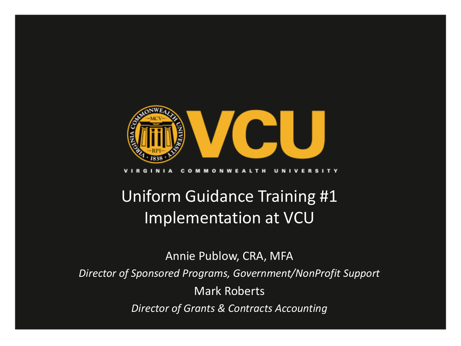

#### c  $\Omega$ **MONW**

### Uniform Guidance Training #1 Implementation at VCU

Annie Publow, CRA, MFA *Director of Sponsored Programs, Government/NonProfit Support* Mark Roberts *Director of Grants & Contracts Accounting*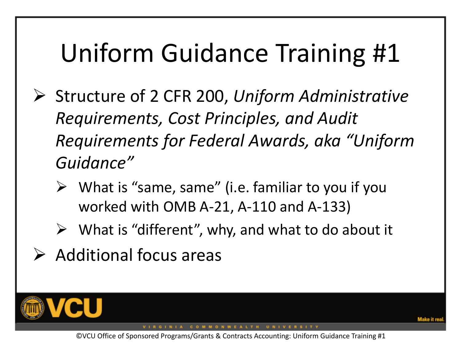# Uniform Guidance Training #1

- Structure of 2 CFR 200, *Uniform Administrative Requirements, Cost Principles, and Audit Requirements for Federal Awards, aka "Uniform Guidance"*
	- $\triangleright$  What is "same, same" (i.e. familiar to you if you worked with OMB A-21, A-110 and A-133)
	- $\triangleright$  What is "different", why, and what to do about it
- $\triangleright$  Additional focus areas



COMMONWEALTH UNIVERSITY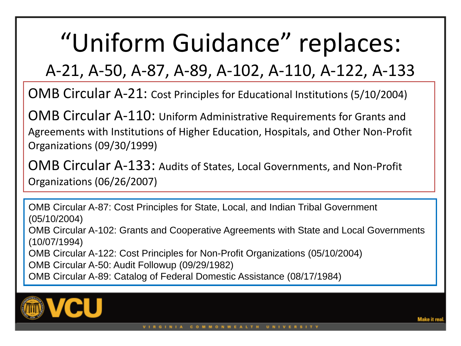# "Uniform Guidance" replaces:

A-21, A-50, A-87, A-89, A-102, A-110, A-122, A-133

OMB Circular A-21: Cost Principles for Educational Institutions (5/10/2004)

OMB Circular A-110: Uniform Administrative Requirements for Grants and Agreements with Institutions of Higher Education, Hospitals, and Other Non-Profit Organizations (09/30/1999)

OMB Circular A-133: Audits of States, Local Governments, and Non-Profit Organizations (06/26/2007)

OMB Circular A-87: Cost Principles for State, Local, and Indian Tribal Government (05/10/2004) OMB Circular A-102: Grants and Cooperative Agreements with State and Local Governments (10/07/1994) OMB Circular A-122: Cost Principles for Non-Profit Organizations (05/10/2004) OMB Circular A-50: Audit Followup (09/29/1982) OMB Circular A-89: Catalog of Federal Domestic Assistance (08/17/1984)

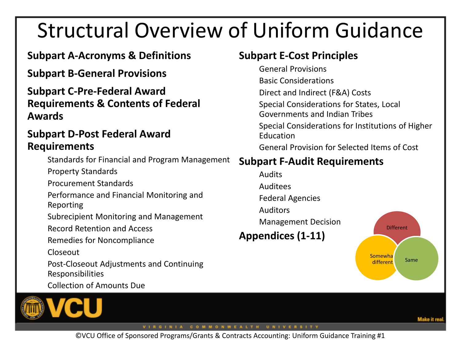### Structural Overview of Uniform Guidance

### **Subpart A-Acronyms & Definitions**

**Subpart B-General Provisions**

**Subpart C-Pre-Federal Award Requirements & Contents of Federal Awards**

### **Subpart D-Post Federal Award Requirements**

Standards for Financial and Program Management

Property Standards

Procurement Standards

Performance and Financial Monitoring and Reporting

Subrecipient Monitoring and Management

Record Retention and Access

Remedies for Noncompliance

Closeout

Post-Closeout Adjustments and Continuing Responsibilities

Collection of Amounts Due

Make it re

©VCU Office of Sponsored Programs/Grants & Contracts Accounting: Uniform Guidance Training #1

### **Subpart E-Cost Principles**

General Provisions

Basic Considerations Direct and Indirect (F&A) Costs Special Considerations for States, Local Governments and Indian Tribes Special Considerations for Institutions of Higher Education

General Provision for Selected Items of Cost

### **Subpart F-Audit Requirements**

Audits Auditees Federal Agencies Auditors Management Decision **Appendices (1-11)**

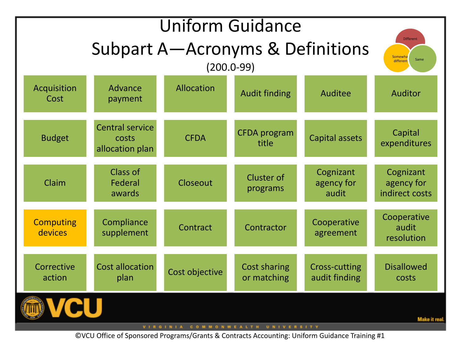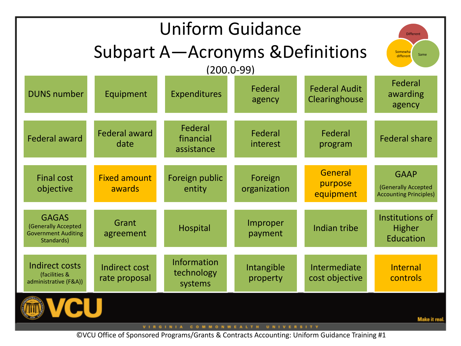| <b>Uniform Guidance</b>                                                         |                                       |                                             |                         |                                       | <b>Different</b>                                                    |
|---------------------------------------------------------------------------------|---------------------------------------|---------------------------------------------|-------------------------|---------------------------------------|---------------------------------------------------------------------|
|                                                                                 | Somewha<br>Same<br>different          |                                             |                         |                                       |                                                                     |
|                                                                                 |                                       | $(200.0 - 99)$                              |                         |                                       |                                                                     |
| <b>DUNS number</b>                                                              | Equipment                             | Expenditures                                | Federal<br>agency       | <b>Federal Audit</b><br>Clearinghouse | Federal<br>awarding<br>agency                                       |
| <b>Federal award</b>                                                            | <b>Federal award</b><br>date          | Federal<br>financial<br>assistance          | Federal<br>interest     | Federal<br>program                    | <b>Federal share</b>                                                |
| <b>Final cost</b><br>objective                                                  | <b>Fixed amount</b><br>awards         | Foreign public<br>entity                    | Foreign<br>organization | General<br>purpose<br>equipment       | <b>GAAP</b><br>(Generally Accepted<br><b>Accounting Principles)</b> |
| <b>GAGAS</b><br>(Generally Accepted<br><b>Government Auditing</b><br>Standards) | Grant<br>agreement                    | <b>Hospital</b>                             | Improper<br>payment     | Indian tribe                          | Institutions of<br><b>Higher</b><br>Education                       |
| <b>Indirect costs</b><br>(facilities &<br>administrative (F&A))                 | <b>Indirect cost</b><br>rate proposal | <b>Information</b><br>technology<br>systems | Intangible<br>property  | Intermediate<br>cost objective        | Internal<br>controls                                                |
| Make it rea<br>VIRGINIA COMMONWEALTH UNIVERSITY                                 |                                       |                                             |                         |                                       |                                                                     |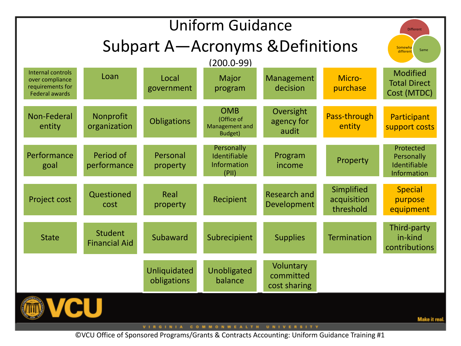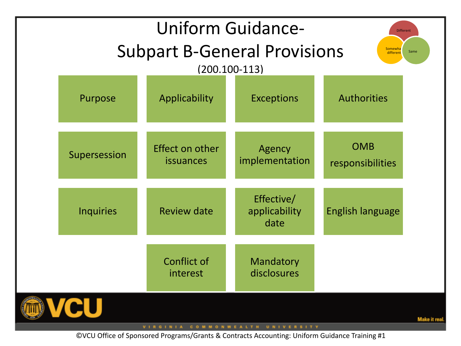| <b>Uniform Guidance-</b><br><b>Different</b><br><b>Subpart B-General Provisions</b><br>Somewha<br>Same<br>different |                  |                                     |                                     |                                |  |
|---------------------------------------------------------------------------------------------------------------------|------------------|-------------------------------------|-------------------------------------|--------------------------------|--|
|                                                                                                                     | Purpose          | $(200.100-113)$<br>Applicability    | <b>Exceptions</b>                   | <b>Authorities</b>             |  |
|                                                                                                                     | Supersession     | Effect on other<br><i>issuances</i> | Agency<br>implementation            | <b>OMB</b><br>responsibilities |  |
|                                                                                                                     | <b>Inquiries</b> | <b>Review date</b>                  | Effective/<br>applicability<br>date | <b>English language</b>        |  |
|                                                                                                                     |                  | Conflict of<br>interest             | Mandatory<br>disclosures            |                                |  |
|                                                                                                                     |                  |                                     |                                     | Make it rea                    |  |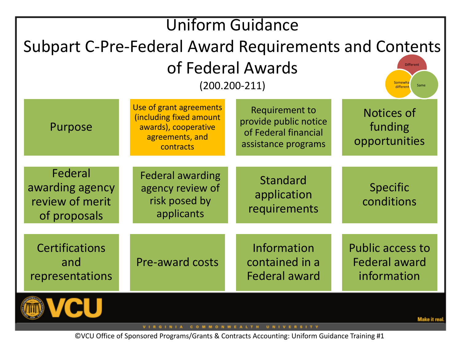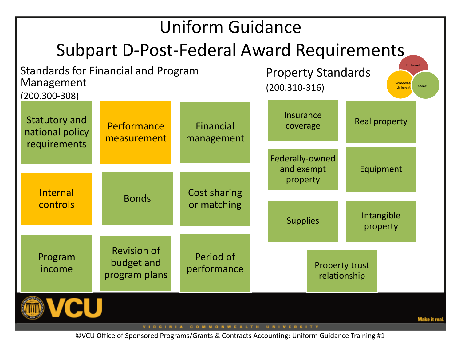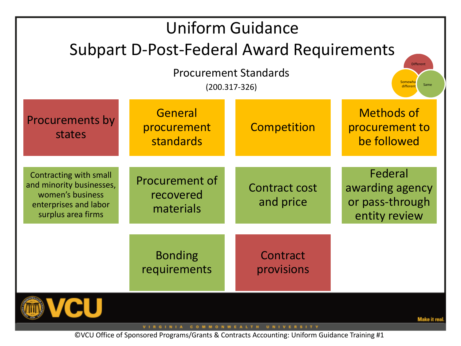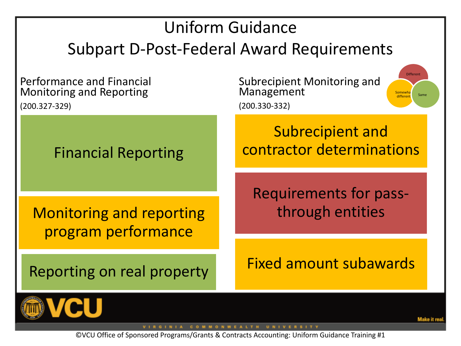### Uniform Guidance Subpart D-Post-Federal Award Requirements

Performance and Financial Monitoring and Reporting

(200.327-329)

Subrecipient Monitoring and Management (200.330-332)

Financial Reporting

Monitoring and reporting program performance

Reporting on real property

Subrecipient and contractor determinations

Requirements for passthrough entities

Fixed amount subawards



GINIA COMMONWEALTH UNIVERSITY

©VCU Office of Sponsored Programs/Grants & Contracts Accounting: Uniform Guidance Training #1

Different

Somewl **different** Same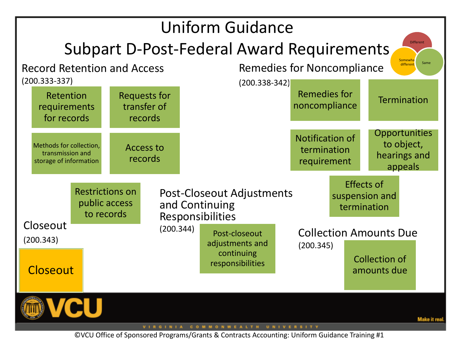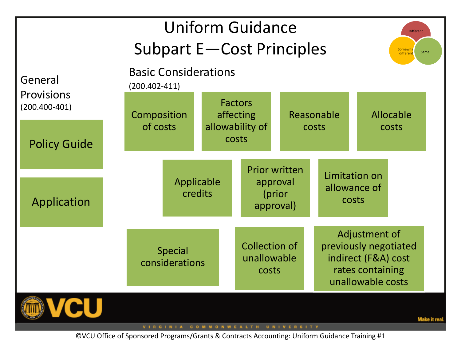| <b>Uniform Guidance</b><br><b>Different</b><br><b>Subpart E-Cost Principles</b><br>Somewha<br>Same<br>different |                                                  |                                                |                                              |       |                                                                                                        |           |               |  |
|-----------------------------------------------------------------------------------------------------------------|--------------------------------------------------|------------------------------------------------|----------------------------------------------|-------|--------------------------------------------------------------------------------------------------------|-----------|---------------|--|
| General<br><b>Provisions</b>                                                                                    | <b>Basic Considerations</b><br>$(200.402 - 411)$ |                                                |                                              |       |                                                                                                        |           |               |  |
| $(200.400 - 401)$                                                                                               | Composition                                      |                                                | <b>Factors</b><br>affecting                  |       | Reasonable                                                                                             | Allocable |               |  |
| <b>Policy Guide</b>                                                                                             | of costs                                         | allowability of<br>costs                       |                                              | costs |                                                                                                        | costs     |               |  |
|                                                                                                                 |                                                  | <b>Prior written</b><br>Applicable<br>approval |                                              |       |                                                                                                        |           | Limitation on |  |
| Application                                                                                                     |                                                  | credits                                        | (prior<br>approval)                          |       | allowance of<br>costs                                                                                  |           |               |  |
|                                                                                                                 | <b>Special</b><br>considerations                 |                                                | <b>Collection of</b><br>unallowable<br>costs |       | Adjustment of<br>previously negotiated<br>indirect (F&A) cost<br>rates containing<br>unallowable costs |           |               |  |
| <b>Make it real</b><br>VIRGINIA COMMONWEALTH UNIVERSITY                                                         |                                                  |                                                |                                              |       |                                                                                                        |           |               |  |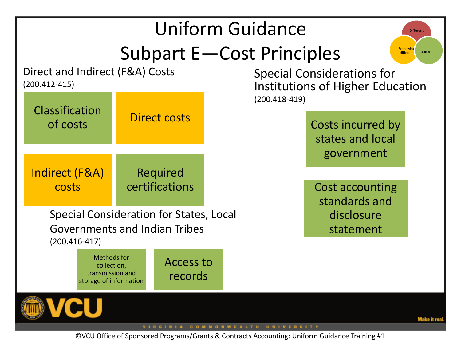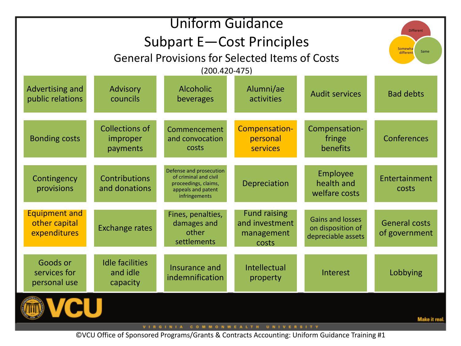| <b>Uniform Guidance</b>                               |                                                |                                                                                                                 |                                                              |                                                                    | <b>Different</b>                      |  |
|-------------------------------------------------------|------------------------------------------------|-----------------------------------------------------------------------------------------------------------------|--------------------------------------------------------------|--------------------------------------------------------------------|---------------------------------------|--|
| Subpart E-Cost Principles                             |                                                |                                                                                                                 |                                                              |                                                                    | Somewha                               |  |
|                                                       | Same<br>different                              |                                                                                                                 |                                                              |                                                                    |                                       |  |
|                                                       | $(200.420 - 475)$                              |                                                                                                                 |                                                              |                                                                    |                                       |  |
| Advertising and<br>public relations                   | Advisory<br>councils                           | <b>Alcoholic</b><br>beverages                                                                                   | Alumni/ae<br>activities                                      | <b>Audit services</b>                                              | <b>Bad debts</b>                      |  |
| <b>Bonding costs</b>                                  | <b>Collections of</b><br>improper<br>payments  | Commencement<br>and convocation<br>costs                                                                        | Compensation-<br>personal<br>services                        | Compensation-<br>fringe<br>benefits                                | Conferences                           |  |
| Contingency<br>provisions                             | Contributions<br>and donations                 | Defense and prosecution<br>of criminal and civil<br>proceedings, claims,<br>appeals and patent<br>infringements | <b>Depreciation</b>                                          | Employee<br>health and<br>welfare costs                            | Entertainment<br>costs                |  |
| <b>Equipment and</b><br>other capital<br>expenditures | <b>Exchange rates</b>                          | Fines, penalties,<br>damages and<br>other<br>settlements                                                        | <b>Fund raising</b><br>and investment<br>management<br>costs | <b>Gains and losses</b><br>on disposition of<br>depreciable assets | <b>General costs</b><br>of government |  |
| Goods or<br>services for<br>personal use              | <b>Idle facilities</b><br>and idle<br>capacity | Insurance and<br>indemnification                                                                                | Intellectual<br>property                                     | Interest                                                           | Lobbying                              |  |
|                                                       |                                                |                                                                                                                 |                                                              |                                                                    | Make it real                          |  |

VIRGINIA COMMONWEALTH UNIVERSITY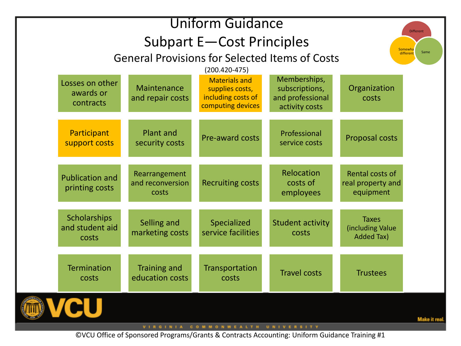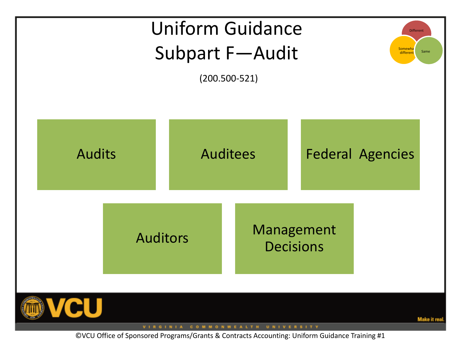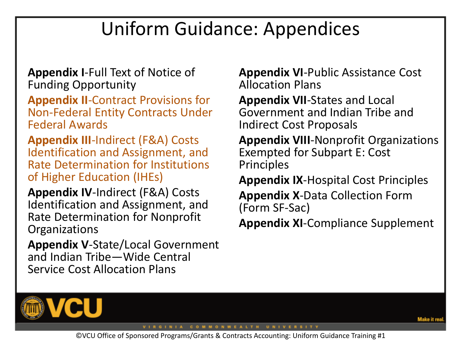### Uniform Guidance: Appendices

**Appendix I**-Full Text of Notice of Funding Opportunity

**Appendix II**-Contract Provisions for Non-Federal Entity Contracts Under Federal Awards

**Appendix III**-Indirect (F&A) Costs Identification and Assignment, and Rate Determination for Institutions of Higher Education (IHEs)

**Appendix IV**-Indirect (F&A) Costs Identification and Assignment, and Rate Determination for Nonprofit **Organizations** 

**Appendix V**-State/Local Government and Indian Tribe—Wide Central Service Cost Allocation Plans

**Appendix VI**-Public Assistance Cost Allocation Plans

**Appendix VII**-States and Local Government and Indian Tribe and Indirect Cost Proposals

**Appendix VIII**-Nonprofit Organizations Exempted for Subpart E: Cost Principles

**Appendix IX**-Hospital Cost Principles

**Appendix X**-Data Collection Form (Form SF-Sac)

**Appendix XI**-Compliance Supplement



VIRGINIA COMMONWEALTH UNIVERSITY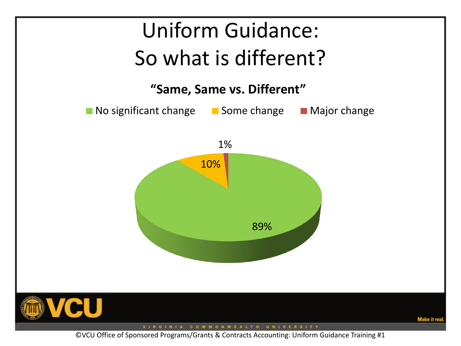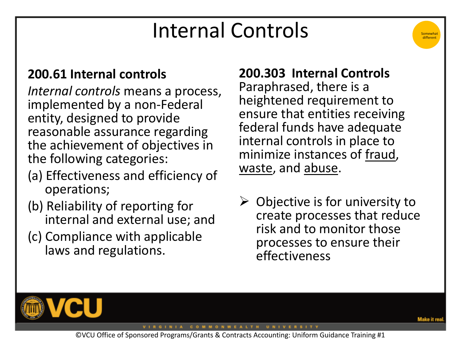### Internal Controls

### **200.61 Internal controls**

*Internal controls* means a process, implemented by a non-Federal entity, designed to provide reasonable assurance regarding the achievement of objectives in the following categories:

- (a) Effectiveness and efficiency of operations;
- (b) Reliability of reporting for internal and external use; and
- (c) Compliance with applicable laws and regulations.

### **200.303 Internal Controls**

Paraphrased, there is a heightened requirement to ensure that entities receiving federal funds have adequate internal controls in place to minimize instances of fraud, waste, and abuse.

 $\triangleright$  Objective is for university to create processes that reduce risk and to monitor those processes to ensure their effectiveness



Somewhat different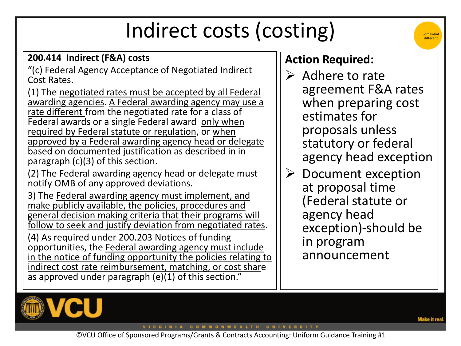# Indirect costs (costing)

#### **200.414 Indirect (F&A) costs**

"(c) Federal Agency Acceptance of Negotiated Indirect Cost Rates.

(1) The negotiated rates must be accepted by all Federal awarding agencies. A Federal awarding agency may use a rate different from the negotiated rate for a class of Federal awards or a single Federal award only when required by Federal statute or regulation, or when approved by a Federal awarding agency head or delegate based on documented justification as described in in paragraph (c)(3) of this section.

(2) The Federal awarding agency head or delegate must notify OMB of any approved deviations.

3) The Federal awarding agency must implement, and make publicly available, the policies, procedures and general decision making criteria that their programs will follow to seek and justify deviation from negotiated rates.

(4) As required under 200.203 Notices of funding opportunities, the Federal awarding agency must include in the notice of funding opportunity the policies relating to indirect cost rate reimbursement, matching, or cost share as approved under paragraph (e)(1) of this section."

### **Action Required:**

- $\triangleright$  Adhere to rate agreement F&A rates when preparing cost estimates for proposals unless statutory or federal agency head exception
- $\triangleright$  Document exception at proposal time (Federal statute or agency head exception)-should be in program announcement



Somewhat different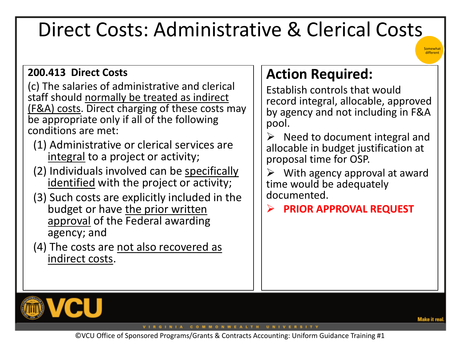### Direct Costs: Administrative & Clerical Costs

#### **200.413 Direct Costs**

(c) The salaries of administrative and clerical staff should normally be treated as indirect (F&A) costs. Direct charging of these costs may be appropriate only if all of the following conditions are met:

- (1) Administrative or clerical services are integral to a project or activity;
- (2) Individuals involved can be specifically identified with the project or activity;
- (3) Such costs are explicitly included in the budget or have the prior written approval of the Federal awarding agency; and
- (4) The costs are not also recovered as indirect costs.

### **Action Required:**

Establish controls that would record integral, allocable, approved by agency and not including in F&A pool.

 $\triangleright$  Need to document integral and allocable in budget justification at proposal time for OSP.

 $\triangleright$  With agency approval at award time would be adequately documented.

**PRIOR APPROVAL REQUEST**



VIRGINIA COMMONWEALTH UNIVERSITY

Somewhat **different**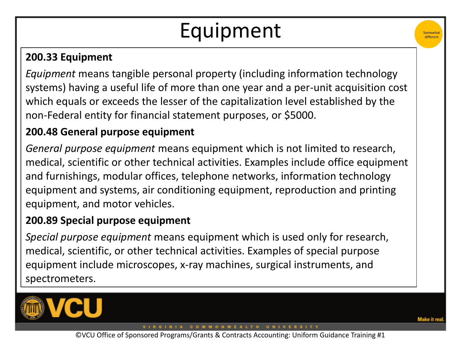# Equipment



*Equipment* means tangible personal property (including information technology systems) having a useful life of more than one year and a per-unit acquisition cost which equals or exceeds the lesser of the capitalization level established by the non-Federal entity for financial statement purposes, or \$5000.

### **200.48 General purpose equipment**

*General purpose equipment* means equipment which is not limited to research, medical, scientific or other technical activities. Examples include office equipment and furnishings, modular offices, telephone networks, information technology equipment and systems, air conditioning equipment, reproduction and printing equipment, and motor vehicles.

### **200.89 Special purpose equipment**

*Special purpose equipment* means equipment which is used only for research, medical, scientific, or other technical activities. Examples of special purpose equipment include microscopes, x-ray machines, surgical instruments, and spectrometers.



**Somewhat** differen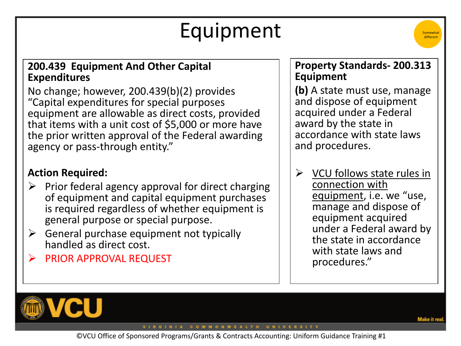# Equipment



#### **200.439 Equipment And Other Capital Expenditures**

No change; however, 200.439(b)(2) provides "Capital expenditures for special purposes equipment are allowable as direct costs, provided that items with a unit cost of \$5,000 or more have the prior written approval of the Federal awarding agency or pass-through entity."

### **Action Required:**

- $\triangleright$  Prior federal agency approval for direct charging of equipment and capital equipment purchases is required regardless of whether equipment is general purpose or special purpose.
- $\triangleright$  General purchase equipment not typically handled as direct cost.
- PRIOR APPROVAL REQUEST

#### **Property Standards- 200.313 Equipment**

**(b)** A state must use, manage and dispose of equipment acquired under a Federal award by the state in accordance with state laws and procedures.

 $\triangleright$  VCU follows state rules in connection with equipment, i.e. we "use, manage and dispose of equipment acquired under a Federal award by the state in accordance with state laws and procedures."



VIRGINIA COMMONWEALTH UNIVERSITY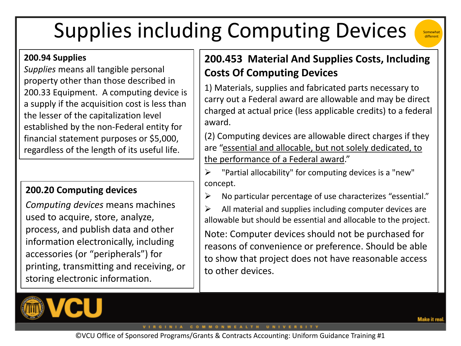# Supplies including Computing Devices

#### **200.94 Supplies**

*Supplies* means all tangible personal property other than those described in 200.33 Equipment. A computing device is a supply if the acquisition cost is less than the lesser of the capitalization level established by the non-Federal entity for financial statement purposes or \$5,000, regardless of the length of its useful life.

#### **200.20 Computing devices**

*Computing devices* means machines used to acquire, store, analyze, process, and publish data and other information electronically, including accessories (or "peripherals") for printing, transmitting and receiving, or storing electronic information.



### **200.453 Material And Supplies Costs, Including Costs Of Computing Devices**

1) Materials, supplies and fabricated parts necessary to carry out a Federal award are allowable and may be direct charged at actual price (less applicable credits) to a federal award.

(2) Computing devices are allowable direct charges if they are "essential and allocable, but not solely dedicated, to the performance of a Federal award."

 "Partial allocability" for computing devices is a "new" concept.

 $\triangleright$  No particular percentage of use characterizes "essential."

 $\triangleright$  All material and supplies including computer devices are allowable but should be essential and allocable to the project.

Note: Computer devices should not be purchased for reasons of convenience or preference. Should be able to show that project does not have reasonable access to other devices.

VIRGINIA COMMONWEALTH UNIVERSITY

Somewhat different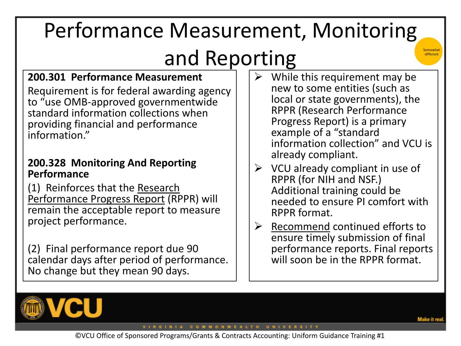# Performance Measurement, Monitoring and Reporting

### **200.301 Performance Measurement**

Requirement is for federal awarding agency to "use OMB-approved governmentwide standard information collections when providing financial and performance information."

#### **200.328 Monitoring And Reporting Performance**

(1) Reinforces that the Research Performance Progress Report (RPPR) will remain the acceptable report to measure project performance.

(2) Final performance report due 90 calendar days after period of performance. No change but they mean 90 days.

- While this requirement may be new to some entities (such as local or state governments), the RPPR (Research Performance Progress Report) is a primary example of a "standard information collection" and VCU is already compliant.
- $\triangleright$  VCU already compliant in use of RPPR (for NIH and NSF.) Additional training could be needed to ensure PI comfort with RPPR format.
- $\triangleright$  Recommend continued efforts to ensure timely submission of final performance reports. Final reports will soon be in the RPPR format.



VIRGINIA COMMONWEALTH UNIVERSITY

Somewhat different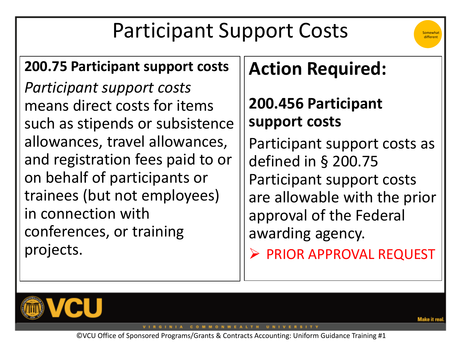# Participant Support Costs



### **200.75 Participant support costs**

*Participant support costs*  means direct costs for items such as stipends or subsistence allowances, travel allowances, and registration fees paid to or on behalf of participants or trainees (but not employees) in connection with conferences, or training projects.

### **Action Required:**

### **200.456 Participant support costs**

Participant support costs as defined in § 200.75 Participant support costs are allowable with the prior approval of the Federal awarding agency.

**EXPRIOR APPROVAL REQUEST** 



GINIA COMMONWEALTH UNIVERSITY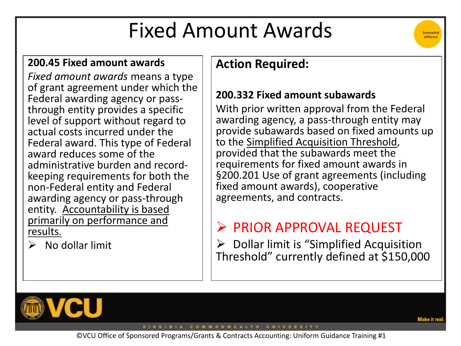### Fixed Amount Awards



#### **200.45 Fixed amount awards**

*Fixed amount awards* means a type of grant agreement under which the Federal awarding agency or passthrough entity provides a specific level of support without regard to actual costs incurred under the Federal award. This type of Federal award reduces some of the administrative burden and recordkeeping requirements for both the non-Federal entity and Federal awarding agency or pass-through entity. Accountability is based primarily on performance and results.

 $\triangleright$  No dollar limit

### **Action Required:**

### **200.332 Fixed amount subawards**

With prior written approval from the Federal awarding agency, a pass-through entity may provide subawards based on fixed amounts up to the Simplified Acquisition Threshold, provided that the subawards meet the requirements for fixed amount awards in §200.201 Use of grant agreements (including fixed amount awards), cooperative agreements, and contracts.

### $\triangleright$  PRIOR APPROVAL REQUEST

 $\triangleright$  Dollar limit is "Simplified Acquisition Threshold" currently defined at \$150,000



VIRGINIA COMMONWEALTH UNIVERSITY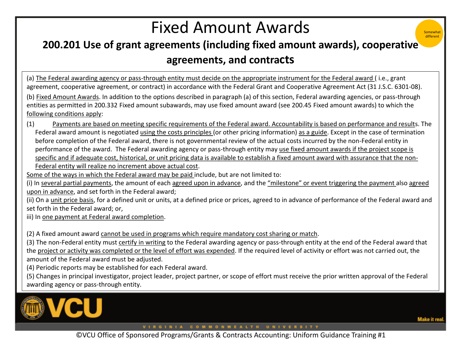### Fixed Amount Awards

### **200.201 Use of grant agreements (including fixed amount awards), cooperative agreements, and contracts**

(a) The Federal awarding agency or pass-through entity must decide on the appropriate instrument for the Federal award ( i.e., grant agreement, cooperative agreement, or contract) in accordance with the Federal Grant and Cooperative Agreement Act (31 J.S.C. 6301-08). (b) Fixed Amount Awards. In addition to the options described in paragraph (a) of this section, Federal awarding agencies, or pass-through entities as permitted in 200.332 Fixed amount subawards, may use fixed amount award (see 200.45 Fixed amount awards) to which the following conditions apply:

(1) Payments are based on meeting specific requirements of the Federal award. Accountability is based on performance and results. The Federal award amount is negotiated using the costs principles (or other pricing information) as a guide. Except in the case of termination before completion of the Federal award, there is not governmental review of the actual costs incurred by the non-Federal entity in performance of the award. The Federal awarding agency or pass-through entity may use fixed amount awards if the project scope is specific and if adequate cost, historical, or unit pricing data is available to establish a fixed amount award with assurance that the non-Federal entity will realize no increment above actual cost.

Some of the ways in which the Federal award may be paid include, but are not limited to:

(i) In several partial payments, the amount of each agreed upon in advance, and the "milestone" or event triggering the payment also agreed upon in advance, and set forth in the Federal award;

(ii) On a unit price basis, for a defined unit or units, at a defined price or prices, agreed to in advance of performance of the Federal award and set forth in the Federal award; or,

iii) In one payment at Federal award completion.

(2) A fixed amount award cannot be used in programs which require mandatory cost sharing or match.

(3) The non-Federal entity must certify in writing to the Federal awarding agency or pass-through entity at the end of the Federal award that the project or activity was completed or the level of effort was expended. If the required level of activity or effort was not carried out, the amount of the Federal award must be adjusted.

(4) Periodic reports may be established for each Federal award.

(5) Changes in principal investigator, project leader, project partner, or scope of effort must receive the prior written approval of the Federal awarding agency or pass-through entity.



VIRGINIA COMMONWEALTH UNIVERSITY

**Somewha** differen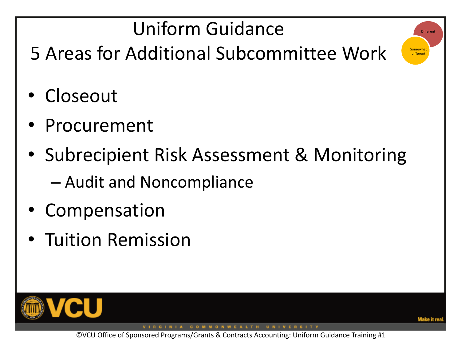# Uniform Guidance

5 Areas for Additional Subcommittee Work

- Closeout
- **Procurement**
- Subrecipient Risk Assessment & Monitoring – Audit and Noncompliance
- Compensation
- Tuition Remission



VIRGINIA COMMONWEALTH UNIVERSITY

**Different** 

**Somewhat** different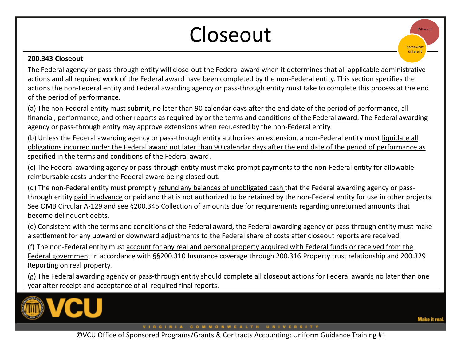### Closeout

#### **200.343 Closeout**

The Federal agency or pass-through entity will close-out the Federal award when it determines that all applicable administrative actions and all required work of the Federal award have been completed by the non-Federal entity. This section specifies the actions the non-Federal entity and Federal awarding agency or pass-through entity must take to complete this process at the end of the period of performance.

(a) The non-Federal entity must submit, no later than 90 calendar days after the end date of the period of performance, all financial, performance, and other reports as required by or the terms and conditions of the Federal award. The Federal awarding agency or pass-through entity may approve extensions when requested by the non-Federal entity.

(b) Unless the Federal awarding agency or pass-through entity authorizes an extension, a non-Federal entity must liquidate all obligations incurred under the Federal award not later than 90 calendar days after the end date of the period of performance as specified in the terms and conditions of the Federal award.

(c) The Federal awarding agency or pass-through entity must make prompt payments to the non-Federal entity for allowable reimbursable costs under the Federal award being closed out.

(d) The non-Federal entity must promptly refund any balances of unobligated cash that the Federal awarding agency or passthrough entity paid in advance or paid and that is not authorized to be retained by the non-Federal entity for use in other projects. See OMB Circular A-129 and see §200.345 Collection of amounts due for requirements regarding unreturned amounts that become delinquent debts.

(e) Consistent with the terms and conditions of the Federal award, the Federal awarding agency or pass-through entity must make a settlement for any upward or downward adjustments to the Federal share of costs after closeout reports are received.

(f) The non-Federal entity must account for any real and personal property acquired with Federal funds or received from the Federal government in accordance with §§200.310 Insurance coverage through 200.316 Property trust relationship and 200.329 Reporting on real property.

(g) The Federal awarding agency or pass-through entity should complete all closeout actions for Federal awards no later than one year after receipt and acceptance of all required final reports.



**Different** 

 $S$ omewhat different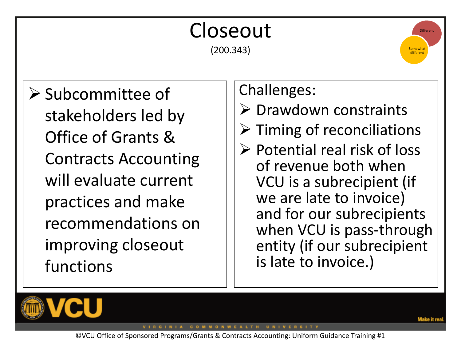#### Closeout (200.343)  $\triangleright$  Subcommittee of stakeholders led by Office of Grants & Contracts Accounting will evaluate current practices and make recommendations on improving closeout functions Challenges:  $\triangleright$  Drawdown constraints  $\triangleright$  Timing of reconciliations  $\triangleright$  Potential real risk of loss of revenue both when VCU is a subrecipient (if we are late to invoice) and for our subrecipients when VCU is pass-through entity (if our subrecipient is late to invoice.) **Different Somewhat** different



VIRGINIA COMMONWEALTH UNIVERSITY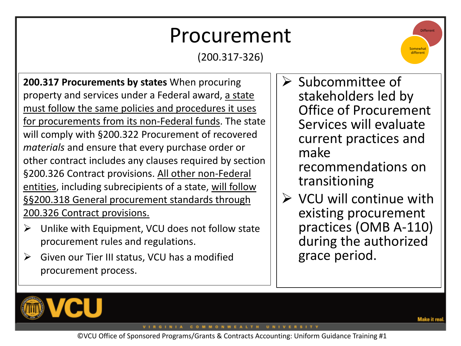### Procurement

(200.317-326)

**200.317 Procurements by states** When procuring property and services under a Federal award, a state must follow the same policies and procedures it uses for procurements from its non-Federal funds. The state will comply with §200.322 Procurement of recovered *materials* and ensure that every purchase order or other contract includes any clauses required by section §200.326 Contract provisions. All other non-Federal entities, including subrecipients of a state, will follow §§200.318 General procurement standards through 200.326 Contract provisions.

- $\triangleright$  Unlike with Equipment, VCU does not follow state procurement rules and regulations.
- $\triangleright$  Given our Tier III status, VCU has a modified procurement process.



- $\triangleright$  Subcommittee of stakeholders led by Office of Procurement Services will evaluate current practices and make
	- recommendations on transitioning
- $\triangleright$  VCU will continue with existing procurement practices (OMB A-110) during the authorized grace period.



VIRGINIA COMMONWEALTH UNIVERSITY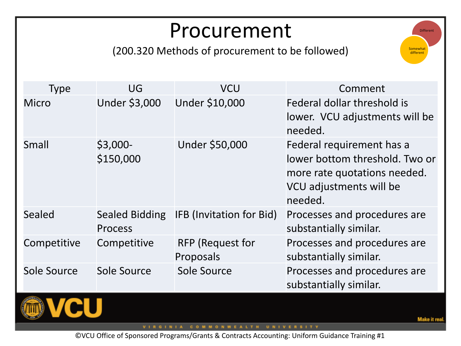### Procurement

(200.320 Methods of procurement to be followed)

| <b>Type</b>        | UG                                      | <b>VCU</b>                           | Comment                                                                                                                           |
|--------------------|-----------------------------------------|--------------------------------------|-----------------------------------------------------------------------------------------------------------------------------------|
| <b>Micro</b>       | Under \$3,000                           | Under \$10,000                       | Federal dollar threshold is<br>lower. VCU adjustments will be<br>needed.                                                          |
| <b>Small</b>       | $$3,000-$<br>\$150,000                  | Under \$50,000                       | Federal requirement has a<br>lower bottom threshold. Two or<br>more rate quotations needed.<br>VCU adjustments will be<br>needed. |
| <b>Sealed</b>      | <b>Sealed Bidding</b><br><b>Process</b> | IFB (Invitation for Bid)             | Processes and procedures are<br>substantially similar.                                                                            |
| Competitive        | Competitive                             | <b>RFP</b> (Request for<br>Proposals | Processes and procedures are<br>substantially similar.                                                                            |
| <b>Sole Source</b> | Sole Source                             | Sole Source                          | Processes and procedures are<br>substantially similar.                                                                            |



VIRGINIA COMMONWEALTH UNIVERSITY

Different

**Somewhat** different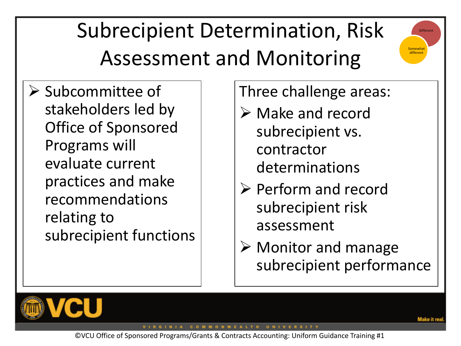# Subrecipient Determination, Risk Assessment and Monitoring



 $\triangleright$  Subcommittee of stakeholders led by Office of Sponsored Programs will evaluate current practices and make recommendations relating to subrecipient functions Three challenge areas:

- $\triangleright$  Make and record subrecipient vs. contractor determinations
- $\triangleright$  Perform and record subrecipient risk assessment
- $\triangleright$  Monitor and manage subrecipient performance



GINIA COMMONWEALTH UNIVERSITY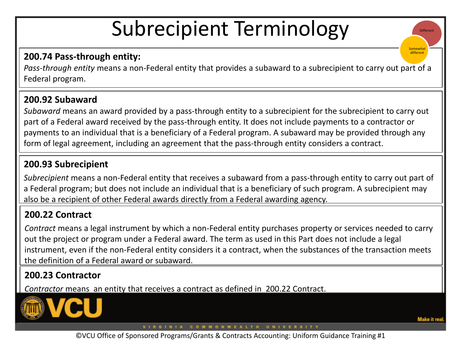### Subrecipient Terminology

#### **200.74 Pass-through entity:**

*Pass-through entity* means a non-Federal entity that provides a subaward to a subrecipient to carry out part of a Federal program.

#### **200.92 Subaward**

*Subaward* means an award provided by a pass-through entity to a subrecipient for the subrecipient to carry out part of a Federal award received by the pass-through entity. It does not include payments to a contractor or payments to an individual that is a beneficiary of a Federal program. A subaward may be provided through any form of legal agreement, including an agreement that the pass-through entity considers a contract.

#### **200.93 Subrecipient**

*Subrecipient* means a non-Federal entity that receives a subaward from a pass-through entity to carry out part of a Federal program; but does not include an individual that is a beneficiary of such program. A subrecipient may also be a recipient of other Federal awards directly from a Federal awarding agency.

#### **200.22 Contract**

*Contract* means a legal instrument by which a non-Federal entity purchases property or services needed to carry out the project or program under a Federal award. The term as used in this Part does not include a legal instrument, even if the non-Federal entity considers it a contract, when the substances of the transaction meets the definition of a Federal award or subaward.

#### **200.23 Contractor**

*Contractor* means an entity that receives a contract as defined in 200.22 Contract.



VIRGINIA COMMONWEALTH UNIVERSITY

**Different** 

omewha different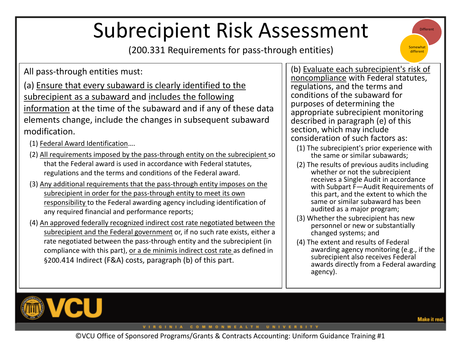# Subrecipient Risk Assessment

(200.331 Requirements for pass-through entities)

All pass-through entities must:

(a) Ensure that every subaward is clearly identified to the subrecipient as a subaward and includes the following information at the time of the subaward and if any of these data elements change, include the changes in subsequent subaward modification.

- (1) Federal Award Identification….
- (2) All requirements imposed by the pass-through entity on the subrecipient so that the Federal award is used in accordance with Federal statutes, regulations and the terms and conditions of the Federal award.
- (3) Any additional requirements that the pass-through entity imposes on the subrecipient in order for the pass-through entity to meet its own responsibility to the Federal awarding agency including identification of any required financial and performance reports;
- (4) An approved federally recognized indirect cost rate negotiated between the subrecipient and the Federal government or, if no such rate exists, either a rate negotiated between the pass-through entity and the subrecipient (in compliance with this part), or a de minimis indirect cost rate as defined in §200.414 Indirect (F&A) costs, paragraph (b) of this part.

(b) Evaluate each subrecipient's risk of noncompliance with Federal statutes, regulations, and the terms and conditions of the subaward for purposes of determining the appropriate subrecipient monitoring described in paragraph (e) of this section, which may include consideration of such factors as:

- (1) The subrecipient's prior experience with the same or similar subawards;
- (2) The results of previous audits including whether or not the subrecipient receives a Single Audit in accordance with Subpart F—Audit Requirements of this part, and the extent to which the same or similar subaward has been audited as a major program;
- (3) Whether the subrecipient has new personnel or new or substantially changed systems; and
- (4) The extent and results of Federal awarding agency monitoring (e.g., if the subrecipient also receives Federal awards directly from a Federal awarding agency).



VIRGINIA COMMONWEALTH UNIVERSITY

Aake it re

**Different** 

Somewhat different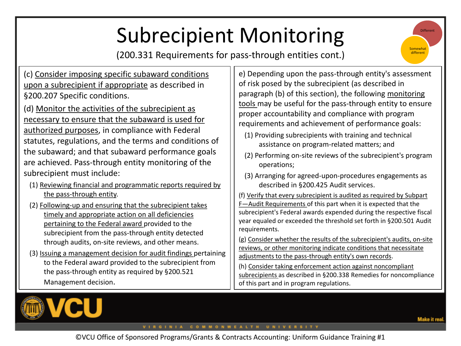# Subrecipient Monitoring

(200.331 Requirements for pass-through entities cont.)



(c) Consider imposing specific subaward conditions upon a subrecipient if appropriate as described in §200.207 Specific conditions.

(d) Monitor the activities of the subrecipient as necessary to ensure that the subaward is used for authorized purposes, in compliance with Federal statutes, regulations, and the terms and conditions of the subaward; and that subaward performance goals are achieved. Pass-through entity monitoring of the subrecipient must include:

- (1) Reviewing financial and programmatic reports required by the pass-through entity.
- (2) Following-up and ensuring that the subrecipient takes timely and appropriate action on all deficiencies pertaining to the Federal award provided to the subrecipient from the pass-through entity detected through audits, on-site reviews, and other means.
- (3) Issuing a management decision for audit findings pertaining to the Federal award provided to the subrecipient from the pass-through entity as required by §200.521 Management decision.

e) Depending upon the pass-through entity's assessment of risk posed by the subrecipient (as described in paragraph (b) of this section), the following monitoring tools may be useful for the pass-through entity to ensure proper accountability and compliance with program requirements and achievement of performance goals:

- (1) Providing subrecipients with training and technical assistance on program-related matters; and
- (2) Performing on-site reviews of the subrecipient's program operations;
- (3) Arranging for agreed-upon-procedures engagements as described in §200.425 Audit services.

(f) Verify that every subrecipient is audited as required by Subpart F—Audit Requirements of this part when it is expected that the subrecipient's Federal awards expended during the respective fiscal year equaled or exceeded the threshold set forth in §200.501 Audit requirements.

(g) Consider whether the results of the subrecipient's audits, on-site reviews, or other monitoring indicate conditions that necessitate adjustments to the pass-through entity's own records.

(h) Consider taking enforcement action against noncompliant subrecipients as described in §200.338 Remedies for noncompliance of this part and in program regulations.



VIRGINIA COMMONWEALTH UNIVERSITY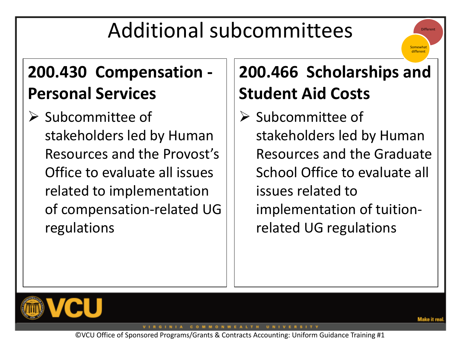# Additional subcommittees

### **200.430 Compensation - Personal Services**

 $\triangleright$  Subcommittee of stakeholders led by Human Resources and the Provost's Office to evaluate all issues related to implementation of compensation-related UG regulations

### **200.466 Scholarships and Student Aid Costs**

 $\triangleright$  Subcommittee of stakeholders led by Human Resources and the Graduate School Office to evaluate all issues related to implementation of tuitionrelated UG regulations



VIRGINIA COMMONWEALTH UNIVERSITY

**Different** 

Somewhat differen